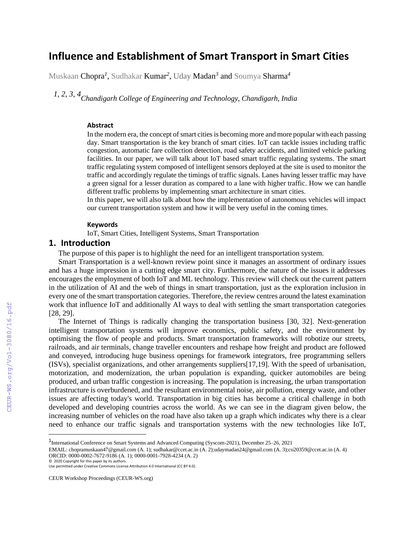# **Influence and Establishment of Smart Transport in Smart Cities**

Muskaan Chopra*<sup>1</sup>* , Sudhakar Kumar*<sup>2</sup>* , Uday Madan*<sup>3</sup>* and Soumya Sharma*<sup>4</sup>*

*1, 2, 3, 4Chandigarh College of Engineering and Technology, Chandigarh, India* 

#### **Abstract**

In the modern era, the concept of smart cities is becoming more and more popular with each passing day. Smart transportation is the key branch of smart cities. IoT can tackle issues including traffic congestion, automatic fare collection detection, road safety accidents, and limited vehicle parking facilities. In our paper, we will talk about IoT based smart traffic regulating systems. The smart traffic regulating system composed of intelligent sensors deployed at the site is used to monitor the traffic and accordingly regulate the timings of traffic signals. Lanes having lesser traffic may have a green signal for a lesser duration as compared to a lane with higher traffic. How we can handle different traffic problems by implementing smart architecture in smart cities.

In this paper, we will also talk about how the implementation of autonomous vehicles will impact our current transportation system and how it will be very useful in the coming times.

#### **Keywords**

IoT, Smart Cities, Intelligent Systems, Smart Transportation

### **1. Introduction**

The purpose of this paper is to highlight the need for an intelligent transportation system.

Smart Transportation is a well-known review point since it manages an assortment of ordinary issues and has a huge impression in a cutting edge smart city. Furthermore, the nature of the issues it addresses encourages the employment of both IoT and ML technology. This review will check out the current pattern in the utilization of AI and the web of things in smart transportation, just as the exploration inclusion in every one of the smart transportation categories. Therefore, the review centres around the latest examination work that influence IoT and additionally AI ways to deal with settling the smart transportation categories [28, 29].

The Internet of Things is radically changing the transportation business [30, 32]. Next-generation intelligent transportation systems will improve economics, public safety, and the environment by optimising the flow of people and products. Smart transportation frameworks will robotize our streets, railroads, and air terminals, change traveller encounters and reshape how freight and product are followed and conveyed, introducing huge business openings for framework integrators, free programming sellers (ISVs), specialist organizations, and other arrangements suppliers[17,19]. With the speed of urbanisation, motorization, and modernization, the urban population is expanding, quicker automobiles are being produced, and urban traffic congestion is increasing. The population is increasing, the urban transportation infrastructure is overburdened, and the resultant environmental noise, air pollution, energy waste, and other issues are affecting today's world. Transportation in big cities has become a critical challenge in both developed and developing countries across the world. As we can see in the diagram given below, the increasing number of vehicles on the road have also taken up a graph which indicates why there is a clear need to enhance our traffic signals and transportation systems with the new technologies like IoT,

<sup>&</sup>lt;sup>1</sup>International Conference on Smart Systems and Advanced Computing (Syscom-2021), December 25–26, 2021

EMAIL: chopramuskaan47@gmail.com (A. 1); sudhakar@ccet.ac.in (A. 2);udaymadan24@gmail.com (A. 3);co20359@ccet.ac.in (A. 4) ORCID: 0000-0002-7672-9186 (A. 1); 0000-0001-7928-4234 (A. 2) ©️ 2020 Copyright for this paper by its authors.

Use permitted under Creative Commons License Attribution 4.0 International (CC BY 4.0).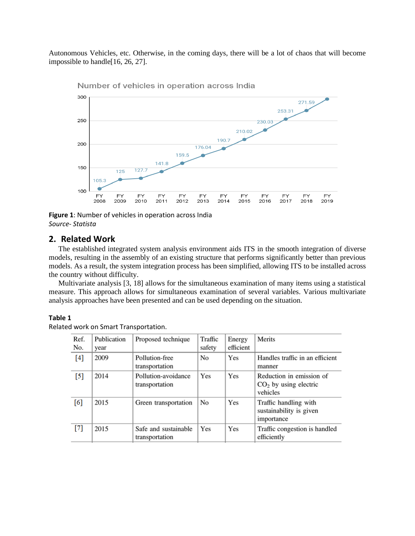Autonomous Vehicles, etc. Otherwise, in the coming days, there will be a lot of chaos that will become impossible to handle[16, 26, 27].



Number of vehicles in operation across India

**Figure 1**: Number of vehicles in operation across India *Source- Statista*

## **2. Related Work**

The established integrated system analysis environment aids ITS in the smooth integration of diverse models, resulting in the assembly of an existing structure that performs significantly better than previous models. As a result, the system integration process has been simplified, allowing ITS to be installed across the country without difficulty.

Multivariate analysis [3, 18] allows for the simultaneous examination of many items using a statistical measure. This approach allows for simultaneous examination of several variables. Various multivariate analysis approaches have been presented and can be used depending on the situation.

### **Table 1**

Related work on Smart Transportation.

| Ref.<br>No.      | Publication<br>year | Proposed technique                     | Traffic<br>safety | Energy<br>efficient | Merits                                                          |
|------------------|---------------------|----------------------------------------|-------------------|---------------------|-----------------------------------------------------------------|
| [4]              | 2009                | Pollution-free<br>transportation       | N <sub>0</sub>    | Yes                 | Handles traffic in an efficient<br>manner                       |
| $\left[5\right]$ | 2014                | Pollution-avoidance<br>transportation  | Yes               | Yes                 | Reduction in emission of<br>$CO2$ by using electric<br>vehicles |
| [6]              | 2015                | Green transportation                   | N <sub>o</sub>    | Yes                 | Traffic handling with<br>sustainability is given<br>importance  |
| $[7]$            | 2015                | Safe and sustainable<br>transportation | Yes               | Yes                 | Traffic congestion is handled<br>efficiently                    |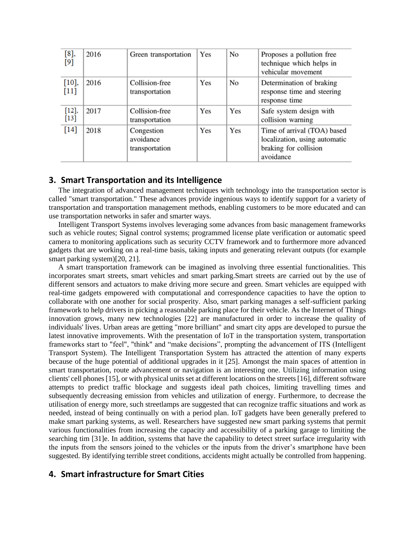| [8]<br>$[9]$    | 2016 | Green transportation                      | Yes | N <sub>o</sub> | Proposes a pollution free<br>technique which helps in<br>vehicular movement                        |
|-----------------|------|-------------------------------------------|-----|----------------|----------------------------------------------------------------------------------------------------|
| [10]<br>[11]    | 2016 | Collision-free<br>transportation          | Yes | No             | Determination of braking<br>response time and steering<br>response time                            |
| [12],<br>$[13]$ | 2017 | Collision-free<br>transportation          | Yes | Yes            | Safe system design with<br>collision warning                                                       |
| $[14]$          | 2018 | Congestion<br>avoidance<br>transportation | Yes | Yes            | Time of arrival (TOA) based<br>localization, using automatic<br>braking for collision<br>avoidance |

## **3. Smart Transportation and its Intelligence**

The integration of advanced management techniques with technology into the transportation sector is called "smart transportation." These advances provide ingenious ways to identify support for a variety of transportation and transportation management methods, enabling customers to be more educated and can use transportation networks in safer and smarter ways.

Intelligent Transport Systems involves leveraging some advances from basic management frameworks such as vehicle routes; Signal control systems; programmed license plate verification or automatic speed camera to monitoring applications such as security CCTV framework and to furthermore more advanced gadgets that are working on a real-time basis, taking inputs and generating relevant outputs (for example smart parking system)[20, 21].

A smart transportation framework can be imagined as involving three essential functionalities. This incorporates smart streets, smart vehicles and smart parking.Smart streets are carried out by the use of different sensors and actuators to make driving more secure and green. Smart vehicles are equipped with real-time gadgets empowered with computational and correspondence capacities to have the option to collaborate with one another for social prosperity. Also, smart parking manages a self-sufficient parking framework to help drivers in picking a reasonable parking place for their vehicle. As the Internet of Things innovation grows, many new technologies [22] are manufactured in order to increase the quality of individuals' lives. Urban areas are getting "more brilliant" and smart city apps are developed to pursue the latest innovative improvements. With the presentation of IoT in the transportation system, transportation frameworks start to "feel", "think" and "make decisions", prompting the advancement of ITS (Intelligent Transport System). The Intelligent Transportation System has attracted the attention of many experts because of the huge potential of additional upgrades in it [25]. Amongst the main spaces of attention in smart transportation, route advancement or navigation is an interesting one. Utilizing information using clients' cell phones [15], or with physical units set at different locations on the streets [16], different software attempts to predict traffic blockage and suggests ideal path choices, limiting travelling times and subsequently decreasing emission from vehicles and utilization of energy. Furthermore, to decrease the utilisation of energy more, such streetlamps are suggested that can recognize traffic situations and work as needed, instead of being continually on with a period plan. IoT gadgets have been generally prefered to make smart parking systems, as well. Researchers have suggested new smart parking systems that permit various functionalities from increasing the capacity and accessibility of a parking garage to limiting the searching tim [31]e. In addition, systems that have the capability to detect street surface irregularity with the inputs from the sensors joined to the vehicles or the inputs from the driver's smartphone have been suggested. By identifying terrible street conditions, accidents might actually be controlled from happening.

## **4. Smart infrastructure for Smart Cities**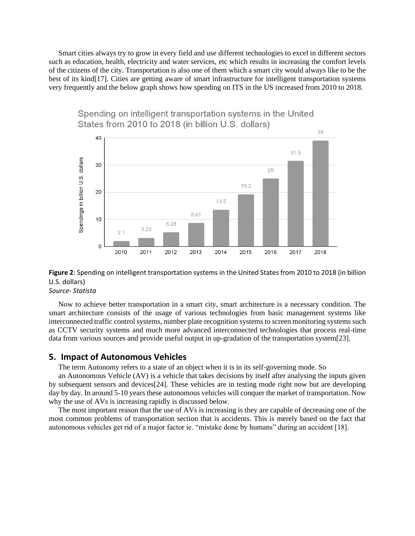Smart cities always try to grow in every field and use different technologies to excel in different sectors such as education, health, electricity and water services, etc which results in increasing the comfort levels of the citizens of the city. Transportation is also one of them which a smart city would always like to be the best of its kind[17]. Cities are getting aware of smart infrastructure for intelligent transportation systems very frequently and the below graph shows how spending on ITS in the US increased from 2010 to 2018.



## Spending on intelligent transportation systems in the United States from 2010 to 2018 (in billion U.S. dollars)

# **Figure 2**: Spending on intelligent transportation systems in the United States from 2010 to 2018 (in billion U.S. dollars)

*Source- Statista*

Now to achieve better transportation in a smart city, smart architecture is a necessary condition. The smart architecture consists of the usage of various technologies from basic management systems like interconnected traffic control systems, number plate recognition systems to screen monitoring systems such as CCTV security systems and much more advanced interconnected technologies that process real-time data from various sources and provide useful output in up-gradation of the transportation system[23].

### **5. Impact of Autonomous Vehicles**

The term Autonomy refers to a state of an object when it is in its self-governing mode. So

an Autonomous Vehicle (AV) is a vehicle that takes decisions by itself after analysing the inputs given by subsequent sensors and devices[24]. These vehicles are in testing mode right now but are developing day by day. In around 5-10 years these autonomous vehicles will conquer the market of transportation. Now why the use of AVs is increasing rapidly is discussed below.

The most important reason that the use of AVs is increasing is they are capable of decreasing one of the most common problems of transportation section that is accidents. This is merely based on the fact that autonomous vehicles get rid of a major factor ie. "mistake done by humans" during an accident [18].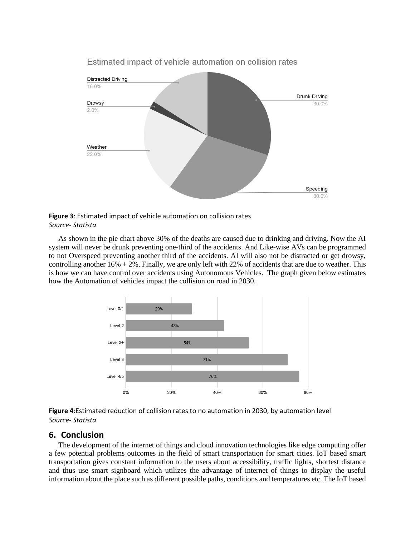

## Estimated impact of vehicle automation on collision rates

**Figure 3**: Estimated impact of vehicle automation on collision rates *Source- Statista*

As shown in the pie chart above 30% of the deaths are caused due to drinking and driving. Now the AI system will never be drunk preventing one-third of the accidents. And Like-wise AVs can be programmed to not Overspeed preventing another third of the accidents. AI will also not be distracted or get drowsy, controlling another  $16\% + 2\%$ . Finally, we are only left with 22% of accidents that are due to weather. This is how we can have control over accidents using Autonomous Vehicles. The graph given below estimates how the Automation of vehicles impact the collision on road in 2030.



**Figure 4**:Estimated reduction of collision rates to no automation in 2030, by automation level *Source- Statista* 

## **6. Conclusion**

The development of the internet of things and cloud innovation technologies like edge computing offer a few potential problems outcomes in the field of smart transportation for smart cities. IoT based smart transportation gives constant information to the users about accessibility, traffic lights, shortest distance and thus use smart signboard which utilizes the advantage of internet of things to display the useful information about the place such as different possible paths, conditions and temperatures etc. The IoT based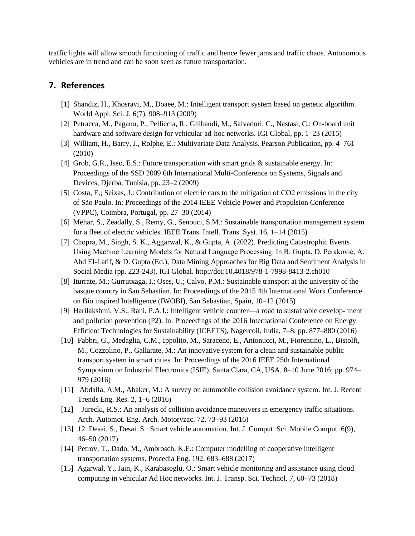traffic lights will allow smooth functioning of traffic and hence fewer jams and traffic chaos. Autonomous vehicles are in trend and can be soon seen as future transportation.

## **7. References**

- [1] Shandiz, H., Khosravi, M., Doaee, M.: Intelligent transport system based on genetic algorithm. World Appl. Sci. J. 6(7), 908–913 (2009)
- [2] Petracca, M., Pagano, P., Pelliccia, R., Ghibaudi, M., Salvadori, C., Nastasi, C.: On-board unit hardware and software design for vehicular ad-hoc networks. IGI Global, pp. 1–23 (2015)
- [3] William, H., Barry, J., Rolphe, E.: Multivariate Data Analysis. Pearson Publication, pp. 4–761 (2010)
- [4] Grob, G.R., Iseo, E.S.: Future transportation with smart grids & sustainable energy. In: Proceedings of the SSD 2009 6th International Multi-Conference on Systems, Signals and Devices, Djerba, Tunisia, pp. 23–2 (2009)
- [5] Costa, E.; Seixas, J.: Contribution of electric cars to the mitigation of CO2 emissions in the city of São Paulo. In: Proceedings of the 2014 IEEE Vehicle Power and Propulsion Conference (VPPC), Coimbra, Portugal, pp. 27–30 (2014)
- [6] Mehar, S., Zeadally, S., Remy, G., Senouci, S.M.: Sustainable transportation management system for a fleet of electric vehicles. IEEE Trans. Intell. Trans. Syst. 16, 1–14 (2015)
- [7] Chopra, M., Singh, S. K., Aggarwal, K., & Gupta, A. (2022). Predicting Catastrophic Events Using Machine Learning Models for Natural Language Processing. In B. Gupta, D. Peraković, A. Abd El-Latif, & D. Gupta (Ed.), Data Mining Approaches for Big Data and Sentiment Analysis in Social Media (pp. 223-243). IGI Global. http://doi:10.4018/978-1-7998-8413-2.ch010
- [8] Iturrate, M.; Gurrutxaga, I.; Oses, U.; Calvo, P.M.: Sustainable transport at the university of the basque country in San Sebastian. In: Proceedings of the 2015 4th International Work Conference on Bio inspired Intelligence (IWOBI), San Sebastian, Spain, 10–12 (2015)
- [9] Harilakshmi, V.S., Rani, P.A.J.: Intelligent vehicle counter—a road to sustainable develop- ment and pollution prevention (P2). In: Proceedings of the 2016 International Conference on Energy Efficient Technologies for Sustainability (ICEETS), Nagercoil, India, 7–8; pp. 877–880 (2016)
- [10] Fabbri, G., Medaglia, C.M., Ippolito, M., Saraceno, E., Antonucci, M., Fiorentino, L., Bistolfi, M., Cozzolino, P., Gallarate, M.: An innovative system for a clean and sustainable public transport system in smart cities. In: Proceedings of the 2016 IEEE 25th International Symposium on Industrial Electronics (ISIE), Santa Clara, CA, USA, 8–10 June 2016; pp. 974– 979 (2016)
- [11] Abdalla, A.M., Abaker, M.: A survey on automobile collision avoidance system. Int. J. Recent Trends Eng. Res. 2, 1–6 (2016)
- [12] Jurecki, R.S.: An analysis of collision avoidance maneuvers in emergency traffic situations. Arch. Automot. Eng. Arch. Motoryzac. 72, 73–93 (2016)
- [13] 12. Desai, S., Desai. S.: Smart vehicle automation. Int. J. Comput. Sci. Mobile Comput. 6(9), 46–50 (2017)
- [14] Petrov, T., Dado, M., Ambrosch, K.E.: Computer modelling of cooperative intelligent transportation systems. Procedia Eng. 192, 683–688 (2017)
- [15] Agarwal, Y., Jain, K., Karabasoglu, O.: Smart vehicle monitoring and assistance using cloud computing in vehicular Ad Hoc networks. Int. J. Transp. Sci. Technol. 7, 60–73 (2018)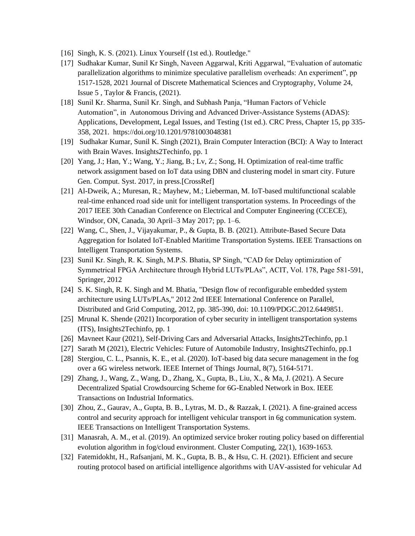- [16] Singh, K. S. (2021). Linux Yourself (1st ed.). Routledge."
- [17] Sudhakar Kumar, Sunil Kr Singh, Naveen Aggarwal, Kriti Aggarwal, "Evaluation of automatic parallelization algorithms to minimize speculative parallelism overheads: An experiment", pp 1517-1528, 2021 Journal of Discrete Mathematical Sciences and Cryptography, Volume 24, Issue 5 , Taylor & Francis, (2021).
- [18] Sunil Kr. Sharma, Sunil Kr. Singh, and Subhash Panja, "Human Factors of Vehicle Automation", in Autonomous Driving and Advanced Driver-Assistance Systems (ADAS): Applications, Development, Legal Issues, and Testing (1st ed.). CRC Press, Chapter 15, pp 335- 358, 2021. https://doi.org/10.1201/9781003048381
- [19] Sudhakar Kumar, Sunil K. Singh (2021), Brain Computer Interaction (BCI): A Way to Interact with Brain Waves. Insights2Techinfo, pp. 1
- [20] Yang, J.; Han, Y.; Wang, Y.; Jiang, B.; Lv, Z.; Song, H. Optimization of real-time traffic network assignment based on IoT data using DBN and clustering model in smart city. Future Gen. Comput. Syst. 2017, in press.[CrossRef]
- [21] Al-Dweik, A.; Muresan, R.; Mayhew, M.; Lieberman, M. IoT-based multifunctional scalable real-time enhanced road side unit for intelligent transportation systems. In Proceedings of the 2017 IEEE 30th Canadian Conference on Electrical and Computer Engineering (CCECE), Windsor, ON, Canada, 30 April–3 May 2017; pp. 1–6.
- [22] Wang, C., Shen, J., Vijayakumar, P., & Gupta, B. B. (2021). Attribute-Based Secure Data Aggregation for Isolated IoT-Enabled Maritime Transportation Systems. IEEE Transactions on Intelligent Transportation Systems.
- [23] Sunil Kr. Singh, R. K. Singh, M.P.S. Bhatia, SP Singh, "CAD for Delay optimization of Symmetrical FPGA Architecture through Hybrid LUTs/PLAs", ACIT, Vol. 178, Page 581-591, Springer, 2012
- [24] S. K. Singh, R. K. Singh and M. Bhatia, "Design flow of reconfigurable embedded system architecture using LUTs/PLAs," 2012 2nd IEEE International Conference on Parallel, Distributed and Grid Computing, 2012, pp. 385-390, doi: 10.1109/PDGC.2012.6449851.
- [25] Mrunal K. Shende (2021) Incorporation of cyber security in intelligent transportation systems (ITS), Insights2Techinfo, pp. 1
- [26] Mavneet Kaur (2021), Self-Driving Cars and Adversarial Attacks, Insights2Techinfo, pp.1
- [27] Sarath M (2021), Electric Vehicles: Future of Automobile Industry, Insights2Techinfo, pp.1
- [28] Stergiou, C. L., Psannis, K. E., et al. (2020). IoT-based big data secure management in the fog over a 6G wireless network. IEEE Internet of Things Journal, 8(7), 5164-5171.
- [29] Zhang, J., Wang, Z., Wang, D., Zhang, X., Gupta, B., Liu, X., & Ma, J. (2021). A Secure Decentralized Spatial Crowdsourcing Scheme for 6G-Enabled Network in Box. IEEE Transactions on Industrial Informatics.
- [30] Zhou, Z., Gaurav, A., Gupta, B. B., Lytras, M. D., & Razzak, I. (2021). A fine-grained access control and security approach for intelligent vehicular transport in 6g communication system. IEEE Transactions on Intelligent Transportation Systems.
- [31] Manasrah, A. M., et al. (2019). An optimized service broker routing policy based on differential evolution algorithm in fog/cloud environment. Cluster Computing, 22(1), 1639-1653.
- [32] Fatemidokht, H., Rafsanjani, M. K., Gupta, B. B., & Hsu, C. H. (2021). Efficient and secure routing protocol based on artificial intelligence algorithms with UAV-assisted for vehicular Ad